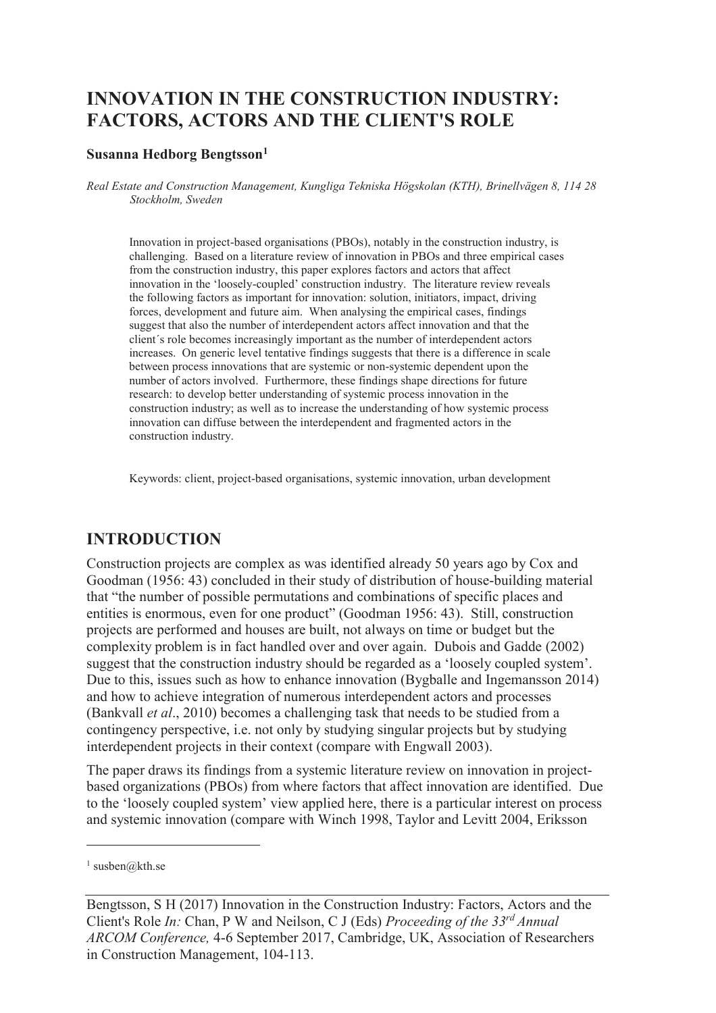# **INNOVATION IN THE CONSTRUCTION INDUSTRY: FACTORS, ACTORS AND THE CLIENT'S ROLE**

#### **Susanna Hedborg Bengtsson<sup>1</sup>**

*Real Estate and Construction Management, Kungliga Tekniska Högskolan (KTH), Brinellvägen 8, 114 28 Stockholm, Sweden* 

Innovation in project-based organisations (PBOs), notably in the construction industry, is challenging. Based on a literature review of innovation in PBOs and three empirical cases from the construction industry, this paper explores factors and actors that affect innovation in the 'loosely-coupled' construction industry. The literature review reveals the following factors as important for innovation: solution, initiators, impact, driving forces, development and future aim. When analysing the empirical cases, findings suggest that also the number of interdependent actors affect innovation and that the client´s role becomes increasingly important as the number of interdependent actors increases. On generic level tentative findings suggests that there is a difference in scale between process innovations that are systemic or non-systemic dependent upon the number of actors involved. Furthermore, these findings shape directions for future research: to develop better understanding of systemic process innovation in the construction industry; as well as to increase the understanding of how systemic process innovation can diffuse between the interdependent and fragmented actors in the construction industry.

Keywords: client, project-based organisations, systemic innovation, urban development

# **INTRODUCTION**

Construction projects are complex as was identified already 50 years ago by Cox and Goodman (1956: 43) concluded in their study of distribution of house-building material that "the number of possible permutations and combinations of specific places and entities is enormous, even for one product" (Goodman 1956: 43). Still, construction projects are performed and houses are built, not always on time or budget but the complexity problem is in fact handled over and over again. Dubois and Gadde (2002) suggest that the construction industry should be regarded as a 'loosely coupled system'. Due to this, issues such as how to enhance innovation (Bygballe and Ingemansson 2014) and how to achieve integration of numerous interdependent actors and processes (Bankvall *et al*., 2010) becomes a challenging task that needs to be studied from a contingency perspective, i.e. not only by studying singular projects but by studying interdependent projects in their context (compare with Engwall 2003).

The paper draws its findings from a systemic literature review on innovation in projectbased organizations (PBOs) from where factors that affect innovation are identified. Due to the 'loosely coupled system' view applied here, there is a particular interest on process and systemic innovation (compare with Winch 1998, Taylor and Levitt 2004, Eriksson

-

<sup>&</sup>lt;sup>1</sup> susben@kth.se

Bengtsson, S H (2017) Innovation in the Construction Industry: Factors, Actors and the Client's Role *In:* Chan, P W and Neilson, C J (Eds) *Proceeding of the 33rd Annual ARCOM Conference,* 4-6 September 2017, Cambridge, UK, Association of Researchers in Construction Management, 104-113.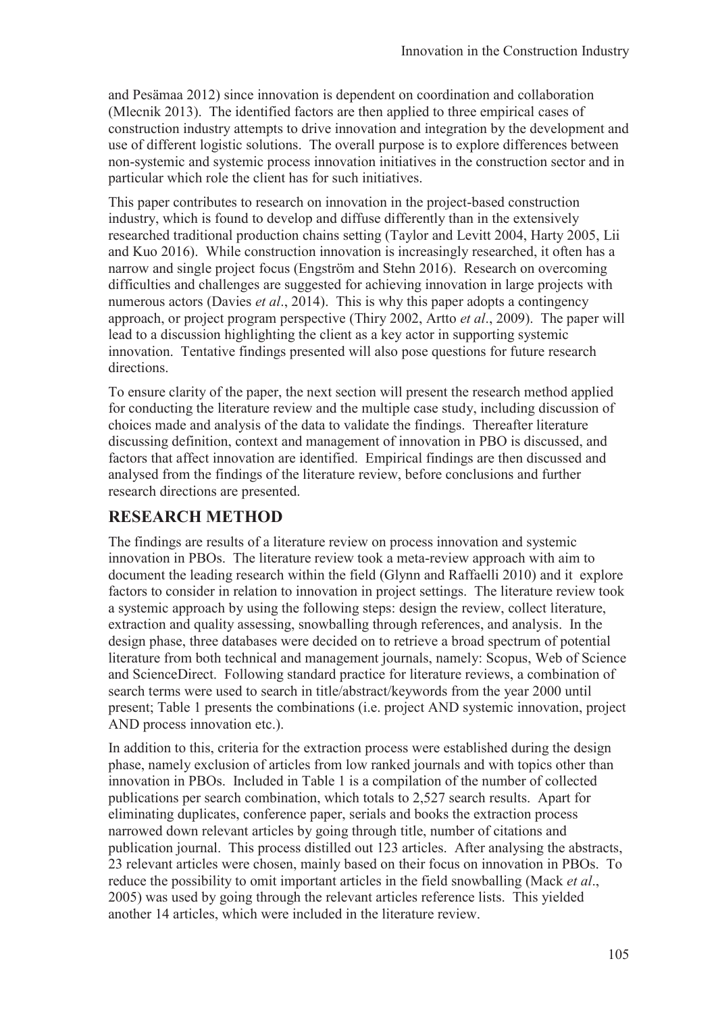and Pesämaa 2012) since innovation is dependent on coordination and collaboration (Mlecnik 2013). The identified factors are then applied to three empirical cases of construction industry attempts to drive innovation and integration by the development and use of different logistic solutions. The overall purpose is to explore differences between non-systemic and systemic process innovation initiatives in the construction sector and in particular which role the client has for such initiatives.

This paper contributes to research on innovation in the project-based construction industry, which is found to develop and diffuse differently than in the extensively researched traditional production chains setting (Taylor and Levitt 2004, Harty 2005, Lii and Kuo 2016). While construction innovation is increasingly researched, it often has a narrow and single project focus (Engström and Stehn 2016). Research on overcoming difficulties and challenges are suggested for achieving innovation in large projects with numerous actors (Davies *et al*., 2014). This is why this paper adopts a contingency approach, or project program perspective (Thiry 2002, Artto *et al*., 2009). The paper will lead to a discussion highlighting the client as a key actor in supporting systemic innovation. Tentative findings presented will also pose questions for future research directions.

To ensure clarity of the paper, the next section will present the research method applied for conducting the literature review and the multiple case study, including discussion of choices made and analysis of the data to validate the findings. Thereafter literature discussing definition, context and management of innovation in PBO is discussed, and factors that affect innovation are identified. Empirical findings are then discussed and analysed from the findings of the literature review, before conclusions and further research directions are presented.

# **RESEARCH METHOD**

The findings are results of a literature review on process innovation and systemic innovation in PBOs. The literature review took a meta-review approach with aim to document the leading research within the field (Glynn and Raffaelli 2010) and it explore factors to consider in relation to innovation in project settings. The literature review took a systemic approach by using the following steps: design the review, collect literature, extraction and quality assessing, snowballing through references, and analysis. In the design phase, three databases were decided on to retrieve a broad spectrum of potential literature from both technical and management journals, namely: Scopus, Web of Science and ScienceDirect. Following standard practice for literature reviews, a combination of search terms were used to search in title/abstract/keywords from the year 2000 until present; Table 1 presents the combinations (i.e. project AND systemic innovation, project AND process innovation etc.).

In addition to this, criteria for the extraction process were established during the design phase, namely exclusion of articles from low ranked journals and with topics other than innovation in PBOs. Included in Table 1 is a compilation of the number of collected publications per search combination, which totals to 2,527 search results. Apart for eliminating duplicates, conference paper, serials and books the extraction process narrowed down relevant articles by going through title, number of citations and publication journal. This process distilled out 123 articles. After analysing the abstracts, 23 relevant articles were chosen, mainly based on their focus on innovation in PBOs. To reduce the possibility to omit important articles in the field snowballing (Mack *et al*., 2005) was used by going through the relevant articles reference lists. This yielded another 14 articles, which were included in the literature review.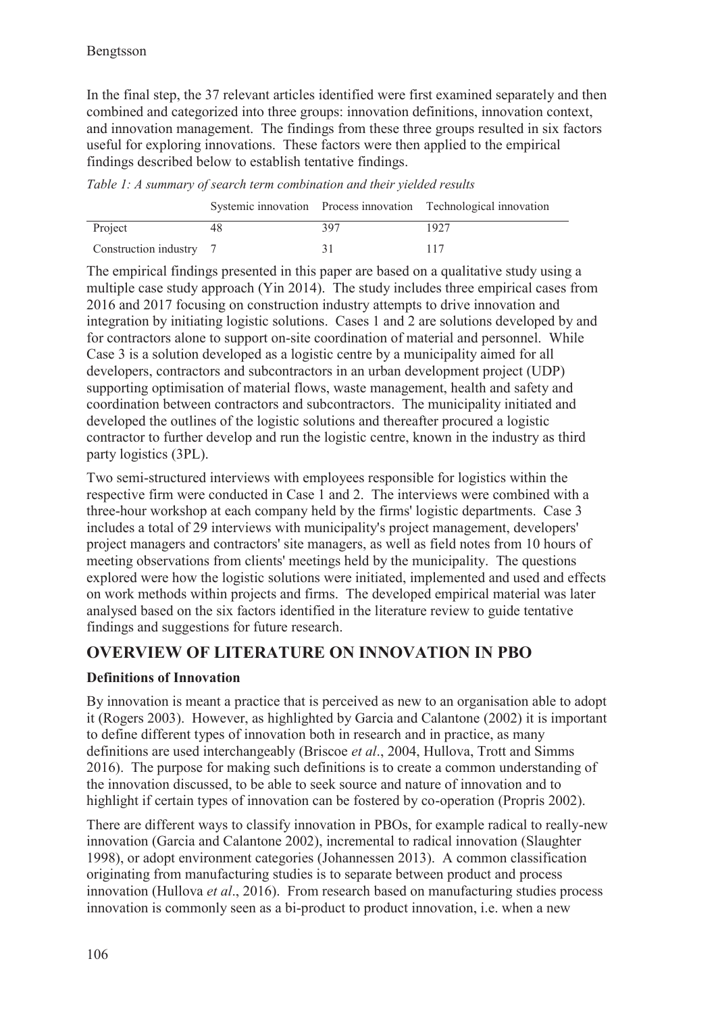In the final step, the 37 relevant articles identified were first examined separately and then combined and categorized into three groups: innovation definitions, innovation context, and innovation management. The findings from these three groups resulted in six factors useful for exploring innovations. These factors were then applied to the empirical findings described below to establish tentative findings.

*Table 1: A summary of search term combination and their yielded results* 

|                         |     | Systemic innovation Process innovation Technological innovation |
|-------------------------|-----|-----------------------------------------------------------------|
| Project                 | 397 | 1927                                                            |
| Construction industry 7 |     |                                                                 |

The empirical findings presented in this paper are based on a qualitative study using a multiple case study approach (Yin 2014). The study includes three empirical cases from 2016 and 2017 focusing on construction industry attempts to drive innovation and integration by initiating logistic solutions. Cases 1 and 2 are solutions developed by and for contractors alone to support on-site coordination of material and personnel. While Case 3 is a solution developed as a logistic centre by a municipality aimed for all developers, contractors and subcontractors in an urban development project (UDP) supporting optimisation of material flows, waste management, health and safety and coordination between contractors and subcontractors. The municipality initiated and developed the outlines of the logistic solutions and thereafter procured a logistic contractor to further develop and run the logistic centre, known in the industry as third party logistics (3PL).

Two semi-structured interviews with employees responsible for logistics within the respective firm were conducted in Case 1 and 2. The interviews were combined with a three-hour workshop at each company held by the firms' logistic departments. Case 3 includes a total of 29 interviews with municipality's project management, developers' project managers and contractors' site managers, as well as field notes from 10 hours of meeting observations from clients' meetings held by the municipality. The questions explored were how the logistic solutions were initiated, implemented and used and effects on work methods within projects and firms. The developed empirical material was later analysed based on the six factors identified in the literature review to guide tentative findings and suggestions for future research.

# **OVERVIEW OF LITERATURE ON INNOVATION IN PBO**

# **Definitions of Innovation**

By innovation is meant a practice that is perceived as new to an organisation able to adopt it (Rogers 2003). However, as highlighted by Garcia and Calantone (2002) it is important to define different types of innovation both in research and in practice, as many definitions are used interchangeably (Briscoe *et al*., 2004, Hullova, Trott and Simms 2016). The purpose for making such definitions is to create a common understanding of the innovation discussed, to be able to seek source and nature of innovation and to highlight if certain types of innovation can be fostered by co-operation (Propris 2002).

There are different ways to classify innovation in PBOs, for example radical to really-new innovation (Garcia and Calantone 2002), incremental to radical innovation (Slaughter 1998), or adopt environment categories (Johannessen 2013). A common classification originating from manufacturing studies is to separate between product and process innovation (Hullova *et al*., 2016). From research based on manufacturing studies process innovation is commonly seen as a bi-product to product innovation, i.e. when a new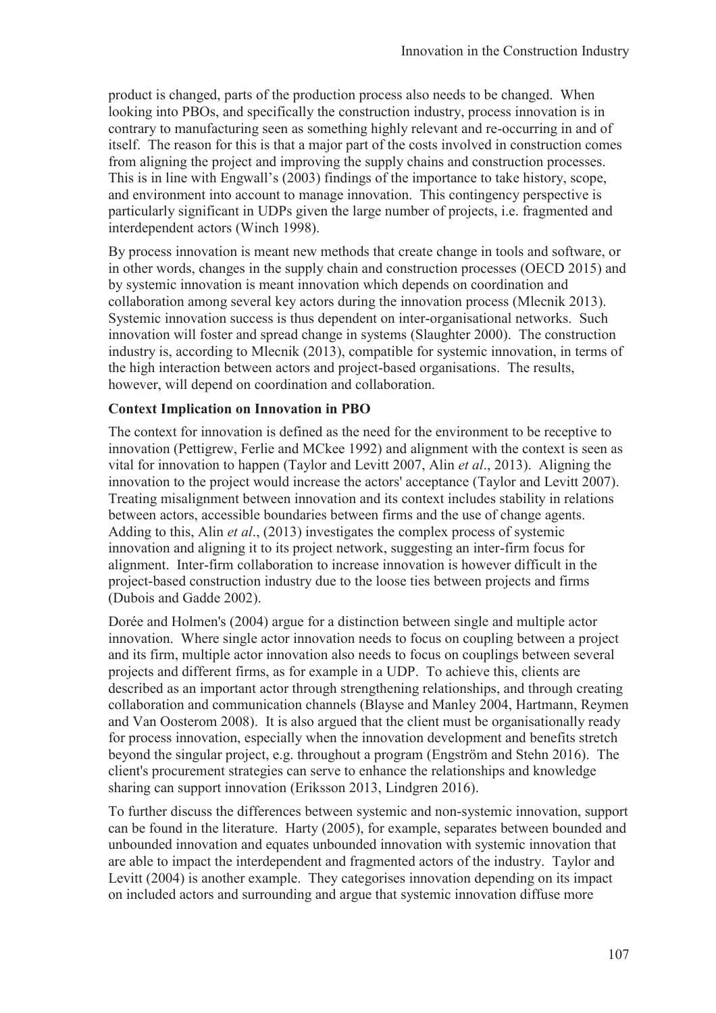product is changed, parts of the production process also needs to be changed. When looking into PBOs, and specifically the construction industry, process innovation is in contrary to manufacturing seen as something highly relevant and re-occurring in and of itself. The reason for this is that a major part of the costs involved in construction comes from aligning the project and improving the supply chains and construction processes. This is in line with Engwall's (2003) findings of the importance to take history, scope, and environment into account to manage innovation. This contingency perspective is particularly significant in UDPs given the large number of projects, i.e. fragmented and interdependent actors (Winch 1998).

By process innovation is meant new methods that create change in tools and software, or in other words, changes in the supply chain and construction processes (OECD 2015) and by systemic innovation is meant innovation which depends on coordination and collaboration among several key actors during the innovation process (Mlecnik 2013). Systemic innovation success is thus dependent on inter-organisational networks. Such innovation will foster and spread change in systems (Slaughter 2000). The construction industry is, according to Mlecnik (2013), compatible for systemic innovation, in terms of the high interaction between actors and project-based organisations. The results, however, will depend on coordination and collaboration.

#### **Context Implication on Innovation in PBO**

The context for innovation is defined as the need for the environment to be receptive to innovation (Pettigrew, Ferlie and MCkee 1992) and alignment with the context is seen as vital for innovation to happen (Taylor and Levitt 2007, Alin *et al*., 2013). Aligning the innovation to the project would increase the actors' acceptance (Taylor and Levitt 2007). Treating misalignment between innovation and its context includes stability in relations between actors, accessible boundaries between firms and the use of change agents. Adding to this, Alin *et al*., (2013) investigates the complex process of systemic innovation and aligning it to its project network, suggesting an inter-firm focus for alignment. Inter-firm collaboration to increase innovation is however difficult in the project-based construction industry due to the loose ties between projects and firms (Dubois and Gadde 2002).

Dorée and Holmen's (2004) argue for a distinction between single and multiple actor innovation. Where single actor innovation needs to focus on coupling between a project and its firm, multiple actor innovation also needs to focus on couplings between several projects and different firms, as for example in a UDP. To achieve this, clients are described as an important actor through strengthening relationships, and through creating collaboration and communication channels (Blayse and Manley 2004, Hartmann, Reymen and Van Oosterom 2008). It is also argued that the client must be organisationally ready for process innovation, especially when the innovation development and benefits stretch beyond the singular project, e.g. throughout a program (Engström and Stehn 2016). The client's procurement strategies can serve to enhance the relationships and knowledge sharing can support innovation (Eriksson 2013, Lindgren 2016).

To further discuss the differences between systemic and non-systemic innovation, support can be found in the literature. Harty (2005), for example, separates between bounded and unbounded innovation and equates unbounded innovation with systemic innovation that are able to impact the interdependent and fragmented actors of the industry. Taylor and Levitt (2004) is another example. They categorises innovation depending on its impact on included actors and surrounding and argue that systemic innovation diffuse more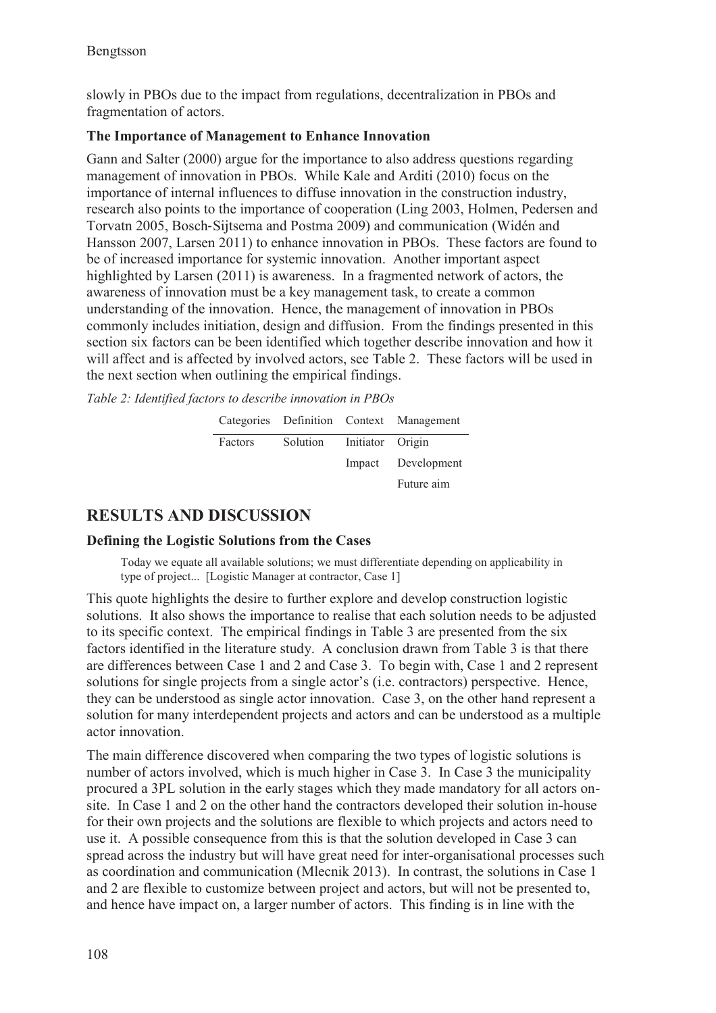slowly in PBOs due to the impact from regulations, decentralization in PBOs and fragmentation of actors.

#### **The Importance of Management to Enhance Innovation**

Gann and Salter (2000) argue for the importance to also address questions regarding management of innovation in PBOs. While Kale and Arditi (2010) focus on the importance of internal influences to diffuse innovation in the construction industry, research also points to the importance of cooperation (Ling 2003, Holmen, Pedersen and Torvatn 2005, Bosch-Sijtsema and Postma 2009) and communication (Widén and Hansson 2007, Larsen 2011) to enhance innovation in PBOs. These factors are found to be of increased importance for systemic innovation. Another important aspect highlighted by Larsen (2011) is awareness. In a fragmented network of actors, the awareness of innovation must be a key management task, to create a common understanding of the innovation. Hence, the management of innovation in PBOs commonly includes initiation, design and diffusion. From the findings presented in this section six factors can be been identified which together describe innovation and how it will affect and is affected by involved actors, see Table 2. These factors will be used in the next section when outlining the empirical findings.

*Table 2: Identified factors to describe innovation in PBOs* 

|                                   | Categories Definition Context Management |
|-----------------------------------|------------------------------------------|
| Factors Solution Initiator Origin |                                          |
|                                   | Impact Development                       |
|                                   | Future aim                               |

# **RESULTS AND DISCUSSION**

#### **Defining the Logistic Solutions from the Cases**

Today we equate all available solutions; we must differentiate depending on applicability in type of project... [Logistic Manager at contractor, Case 1]

This quote highlights the desire to further explore and develop construction logistic solutions. It also shows the importance to realise that each solution needs to be adjusted to its specific context. The empirical findings in Table 3 are presented from the six factors identified in the literature study. A conclusion drawn from Table 3 is that there are differences between Case 1 and 2 and Case 3. To begin with, Case 1 and 2 represent solutions for single projects from a single actor's (i.e. contractors) perspective. Hence, they can be understood as single actor innovation. Case 3, on the other hand represent a solution for many interdependent projects and actors and can be understood as a multiple actor innovation.

The main difference discovered when comparing the two types of logistic solutions is number of actors involved, which is much higher in Case 3. In Case 3 the municipality procured a 3PL solution in the early stages which they made mandatory for all actors onsite. In Case 1 and 2 on the other hand the contractors developed their solution in-house for their own projects and the solutions are flexible to which projects and actors need to use it. A possible consequence from this is that the solution developed in Case 3 can spread across the industry but will have great need for inter-organisational processes such as coordination and communication (Mlecnik 2013). In contrast, the solutions in Case 1 and 2 are flexible to customize between project and actors, but will not be presented to, and hence have impact on, a larger number of actors. This finding is in line with the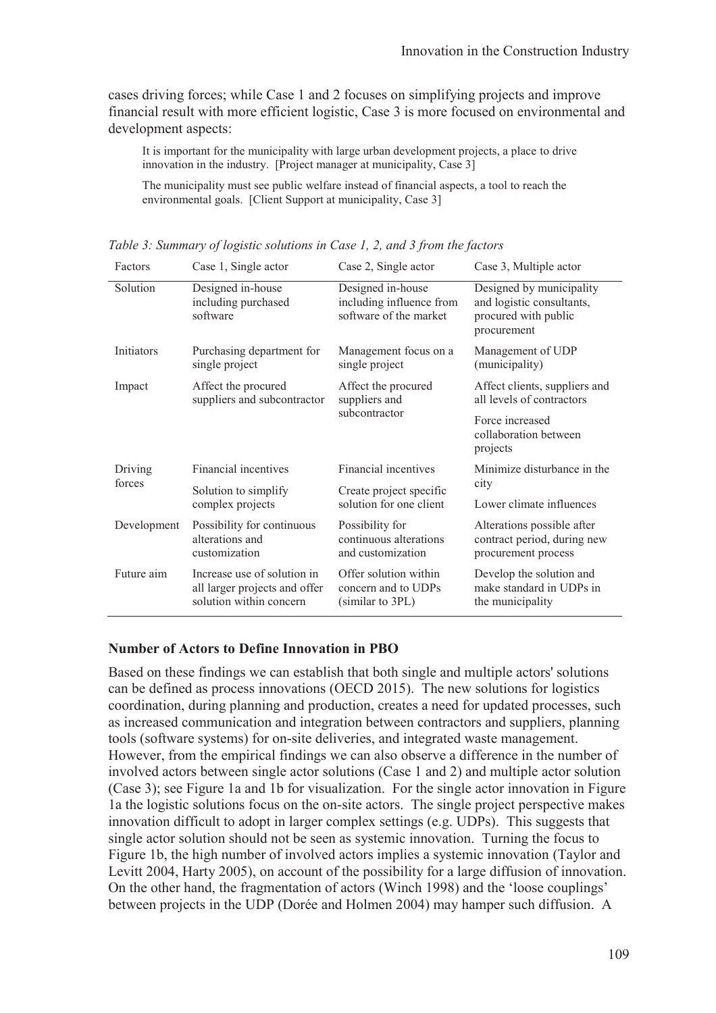cases driving forces; while Case 1 and 2 focuses on simplifying projects and improve financial result with more efficient logistic, Case 3 is more focused on environmental and development aspects:

It is important for the municipality with large urban development projects, a place to drive innovation in the industry. [Project manager at municipality, Case 3]

The municipality must see public welfare instead of financial aspects, a tool to reach the environmental goals. [Client Support at municipality, Case 3]

| Factors           | Case 1, Single actor                                                                    | Case 2, Single actor                                                    | Case 3, Multiple actor                                                                       |
|-------------------|-----------------------------------------------------------------------------------------|-------------------------------------------------------------------------|----------------------------------------------------------------------------------------------|
| Solution          | Designed in-house<br>including purchased<br>software                                    | Designed in-house<br>including influence from<br>software of the market | Designed by municipality<br>and logistic consultants,<br>procured with public<br>procurement |
| Initiators        | Purchasing department for<br>single project                                             | Management focus on a<br>single project                                 | Management of UDP<br>(municipality)                                                          |
| Impact            | Affect the procured<br>suppliers and subcontractor                                      | Affect the procured<br>suppliers and<br>subcontractor                   | Affect clients, suppliers and<br>all levels of contractors                                   |
|                   |                                                                                         |                                                                         | Force increased<br>collaboration between<br>projects                                         |
| Driving<br>forces | Financial incentives                                                                    | Financial incentives                                                    | Minimize disturbance in the<br>city                                                          |
|                   | Solution to simplify                                                                    | Create project specific<br>solution for one client                      |                                                                                              |
|                   | complex projects                                                                        |                                                                         | Lower climate influences                                                                     |
| Development       | Possibility for continuous<br>alterations and<br>customization                          | Possibility for<br>continuous alterations<br>and customization          | Alterations possible after<br>contract period, during new<br>procurement process             |
| Future aim        | Increase use of solution in<br>all larger projects and offer<br>solution within concern | Offer solution within<br>concern and to UDPs<br>(similar to 3PL)        | Develop the solution and<br>make standard in UDPs in<br>the municipality                     |

*Table 3: Summary of logistic solutions in Case 1, 2, and 3 from the factors* 

#### **Number of Actors to Define Innovation in PBO**

Based on these findings we can establish that both single and multiple actors' solutions can be defined as process innovations (OECD 2015). The new solutions for logistics coordination, during planning and production, creates a need for updated processes, such as increased communication and integration between contractors and suppliers, planning tools (software systems) for on-site deliveries, and integrated waste management. However, from the empirical findings we can also observe a difference in the number of involved actors between single actor solutions (Case 1 and 2) and multiple actor solution (Case 3); see Figure 1a and 1b for visualization. For the single actor innovation in Figure 1a the logistic solutions focus on the on-site actors. The single project perspective makes innovation difficult to adopt in larger complex settings (e.g. UDPs). This suggests that single actor solution should not be seen as systemic innovation. Turning the focus to Figure 1b, the high number of involved actors implies a systemic innovation (Taylor and Levitt 2004, Harty 2005), on account of the possibility for a large diffusion of innovation. On the other hand, the fragmentation of actors (Winch 1998) and the 'loose couplings' between projects in the UDP (Dorée and Holmen 2004) may hamper such diffusion. A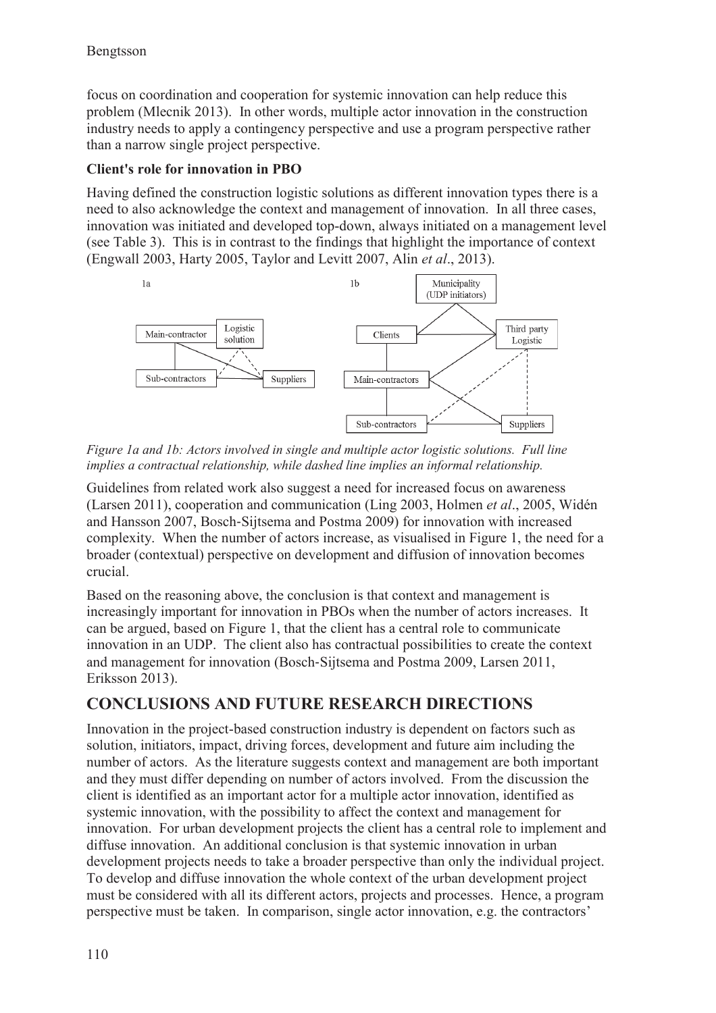focus on coordination and cooperation for systemic innovation can help reduce this problem (Mlecnik 2013). In other words, multiple actor innovation in the construction industry needs to apply a contingency perspective and use a program perspective rather than a narrow single project perspective.

### **Client's role for innovation in PBO**

Having defined the construction logistic solutions as different innovation types there is a need to also acknowledge the context and management of innovation. In all three cases, innovation was initiated and developed top-down, always initiated on a management level (see Table 3). This is in contrast to the findings that highlight the importance of context (Engwall 2003, Harty 2005, Taylor and Levitt 2007, Alin *et al*., 2013).



*Figure 1a and 1b: Actors involved in single and multiple actor logistic solutions. Full line implies a contractual relationship, while dashed line implies an informal relationship.* 

Guidelines from related work also suggest a need for increased focus on awareness (Larsen 2011), cooperation and communication (Ling 2003, Holmen *et al*., 2005, Widén and Hansson 2007, Bosch-Sijtsema and Postma 2009) for innovation with increased complexity. When the number of actors increase, as visualised in Figure 1, the need for a broader (contextual) perspective on development and diffusion of innovation becomes crucial.

Based on the reasoning above, the conclusion is that context and management is increasingly important for innovation in PBOs when the number of actors increases. It can be argued, based on Figure 1, that the client has a central role to communicate innovation in an UDP. The client also has contractual possibilities to create the context and management for innovation (Bosch-Sijtsema and Postma 2009, Larsen 2011, Eriksson 2013).

# **CONCLUSIONS AND FUTURE RESEARCH DIRECTIONS**

Innovation in the project-based construction industry is dependent on factors such as solution, initiators, impact, driving forces, development and future aim including the number of actors. As the literature suggests context and management are both important and they must differ depending on number of actors involved. From the discussion the client is identified as an important actor for a multiple actor innovation, identified as systemic innovation, with the possibility to affect the context and management for innovation. For urban development projects the client has a central role to implement and diffuse innovation. An additional conclusion is that systemic innovation in urban development projects needs to take a broader perspective than only the individual project. To develop and diffuse innovation the whole context of the urban development project must be considered with all its different actors, projects and processes. Hence, a program perspective must be taken. In comparison, single actor innovation, e.g. the contractors'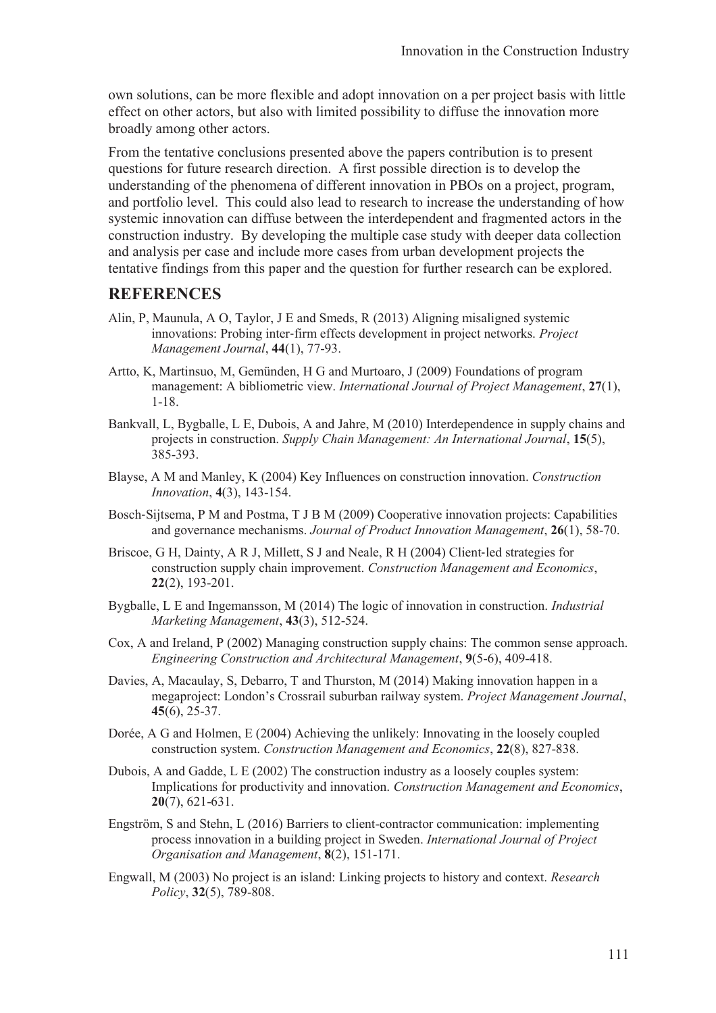own solutions, can be more flexible and adopt innovation on a per project basis with little effect on other actors, but also with limited possibility to diffuse the innovation more broadly among other actors.

From the tentative conclusions presented above the papers contribution is to present questions for future research direction. A first possible direction is to develop the understanding of the phenomena of different innovation in PBOs on a project, program, and portfolio level. This could also lead to research to increase the understanding of how systemic innovation can diffuse between the interdependent and fragmented actors in the construction industry. By developing the multiple case study with deeper data collection and analysis per case and include more cases from urban development projects the tentative findings from this paper and the question for further research can be explored.

# **REFERENCES**

- Alin, P, Maunula, A O, Taylor, J E and Smeds, R (2013) Aligning misaligned systemic innovations: Probing inter-firm effects development in project networks. *Project Management Journal*, **44**(1), 77-93.
- Artto, K, Martinsuo, M, Gemünden, H G and Murtoaro, J (2009) Foundations of program management: A bibliometric view. *International Journal of Project Management*, **27**(1), 1-18.
- Bankvall, L, Bygballe, L E, Dubois, A and Jahre, M (2010) Interdependence in supply chains and projects in construction. *Supply Chain Management: An International Journal*, **15**(5), 385-393.
- Blayse, A M and Manley, K (2004) Key Influences on construction innovation. *Construction Innovation*, **4**(3), 143-154.
- Bosch-Sijtsema, P M and Postma, T J B M (2009) Cooperative innovation projects: Capabilities and governance mechanisms. *Journal of Product Innovation Management*, **26**(1), 58-70.
- Briscoe, G H, Dainty, A R J, Millett, S J and Neale, R H (2004) Client-led strategies for construction supply chain improvement. *Construction Management and Economics*, **22**(2), 193-201.
- Bygballe, L E and Ingemansson, M (2014) The logic of innovation in construction. *Industrial Marketing Management*, **43**(3), 512-524.
- Cox, A and Ireland, P (2002) Managing construction supply chains: The common sense approach. *Engineering Construction and Architectural Management*, **9**(5-6), 409-418.
- Davies, A, Macaulay, S, Debarro, T and Thurston, M (2014) Making innovation happen in a megaproject: London's Crossrail suburban railway system. *Project Management Journal*, **45**(6), 25-37.
- Dorée, A G and Holmen, E (2004) Achieving the unlikely: Innovating in the loosely coupled construction system. *Construction Management and Economics*, **22**(8), 827-838.
- Dubois, A and Gadde, L E (2002) The construction industry as a loosely couples system: Implications for productivity and innovation. *Construction Management and Economics*, **20**(7), 621-631.
- Engström, S and Stehn, L (2016) Barriers to client-contractor communication: implementing process innovation in a building project in Sweden. *International Journal of Project Organisation and Management*, **8**(2), 151-171.
- Engwall, M (2003) No project is an island: Linking projects to history and context. *Research Policy*, **32**(5), 789-808.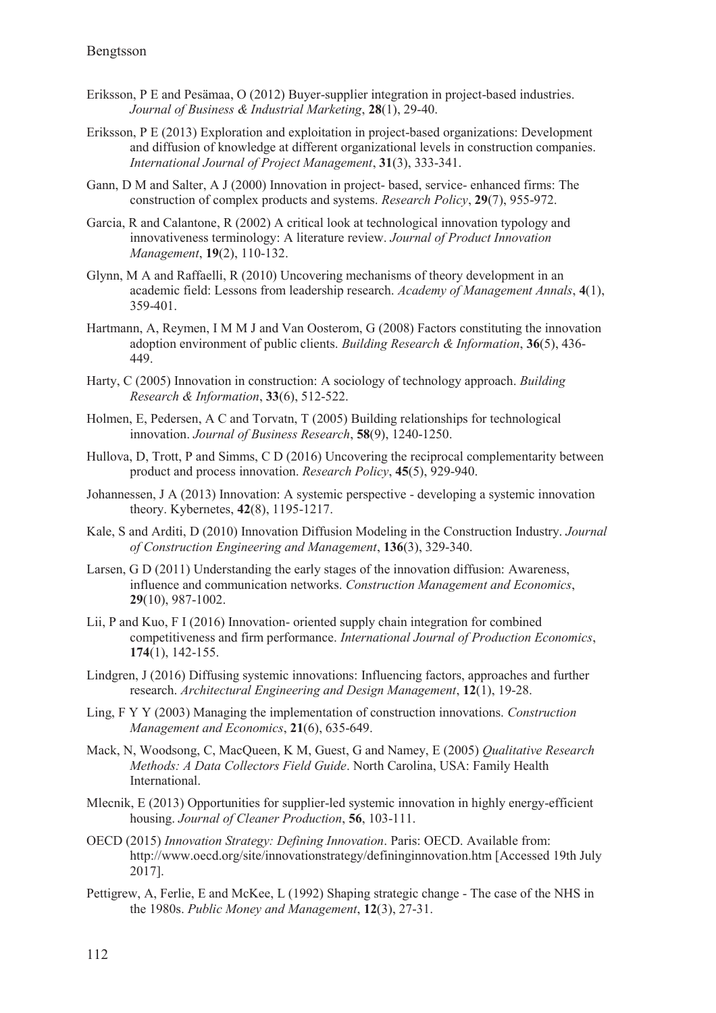- Eriksson, P E and Pesämaa, O (2012) Buyer-supplier integration in project-based industries. *Journal of Business & Industrial Marketing*, **28**(1), 29-40.
- Eriksson, P E (2013) Exploration and exploitation in project-based organizations: Development and diffusion of knowledge at different organizational levels in construction companies. *International Journal of Project Management*, **31**(3), 333-341.
- Gann, D M and Salter, A J (2000) Innovation in project- based, service- enhanced firms: The construction of complex products and systems. *Research Policy*, **29**(7), 955-972.
- Garcia, R and Calantone, R (2002) A critical look at technological innovation typology and innovativeness terminology: A literature review. *Journal of Product Innovation Management*, **19**(2), 110-132.
- Glynn, M A and Raffaelli, R (2010) Uncovering mechanisms of theory development in an academic field: Lessons from leadership research. *Academy of Management Annals*, **4**(1), 359-401.
- Hartmann, A, Reymen, I M M J and Van Oosterom, G (2008) Factors constituting the innovation adoption environment of public clients. *Building Research & Information*, **36**(5), 436- 449.
- Harty, C (2005) Innovation in construction: A sociology of technology approach. *Building Research & Information*, **33**(6), 512-522.
- Holmen, E, Pedersen, A C and Torvatn, T (2005) Building relationships for technological innovation. *Journal of Business Research*, **58**(9), 1240-1250.
- Hullova, D, Trott, P and Simms, C D (2016) Uncovering the reciprocal complementarity between product and process innovation. *Research Policy*, **45**(5), 929-940.
- Johannessen, J A (2013) Innovation: A systemic perspective developing a systemic innovation theory. Kybernetes, **42**(8), 1195-1217.
- Kale, S and Arditi, D (2010) Innovation Diffusion Modeling in the Construction Industry. *Journal of Construction Engineering and Management*, **136**(3), 329-340.
- Larsen, G D (2011) Understanding the early stages of the innovation diffusion: Awareness, influence and communication networks. *Construction Management and Economics*, **29**(10), 987-1002.
- Lii, P and Kuo, F I (2016) Innovation- oriented supply chain integration for combined competitiveness and firm performance. *International Journal of Production Economics*, **174**(1), 142-155.
- Lindgren, J (2016) Diffusing systemic innovations: Influencing factors, approaches and further research. *Architectural Engineering and Design Management*, **12**(1), 19-28.
- Ling, F Y Y (2003) Managing the implementation of construction innovations. *Construction Management and Economics*, **21**(6), 635-649.
- Mack, N, Woodsong, C, MacQueen, K M, Guest, G and Namey, E (2005) *Qualitative Research Methods: A Data Collectors Field Guide*. North Carolina, USA: Family Health International.
- Mlecnik, E (2013) Opportunities for supplier-led systemic innovation in highly energy-efficient housing. *Journal of Cleaner Production*, **56**, 103-111.
- OECD (2015) *Innovation Strategy: Defining Innovation*. Paris: OECD. Available from: http://www.oecd.org/site/innovationstrategy/defininginnovation.htm [Accessed 19th July 2017].
- Pettigrew, A, Ferlie, E and McKee, L (1992) Shaping strategic change The case of the NHS in the 1980s. *Public Money and Management*, **12**(3), 27-31.